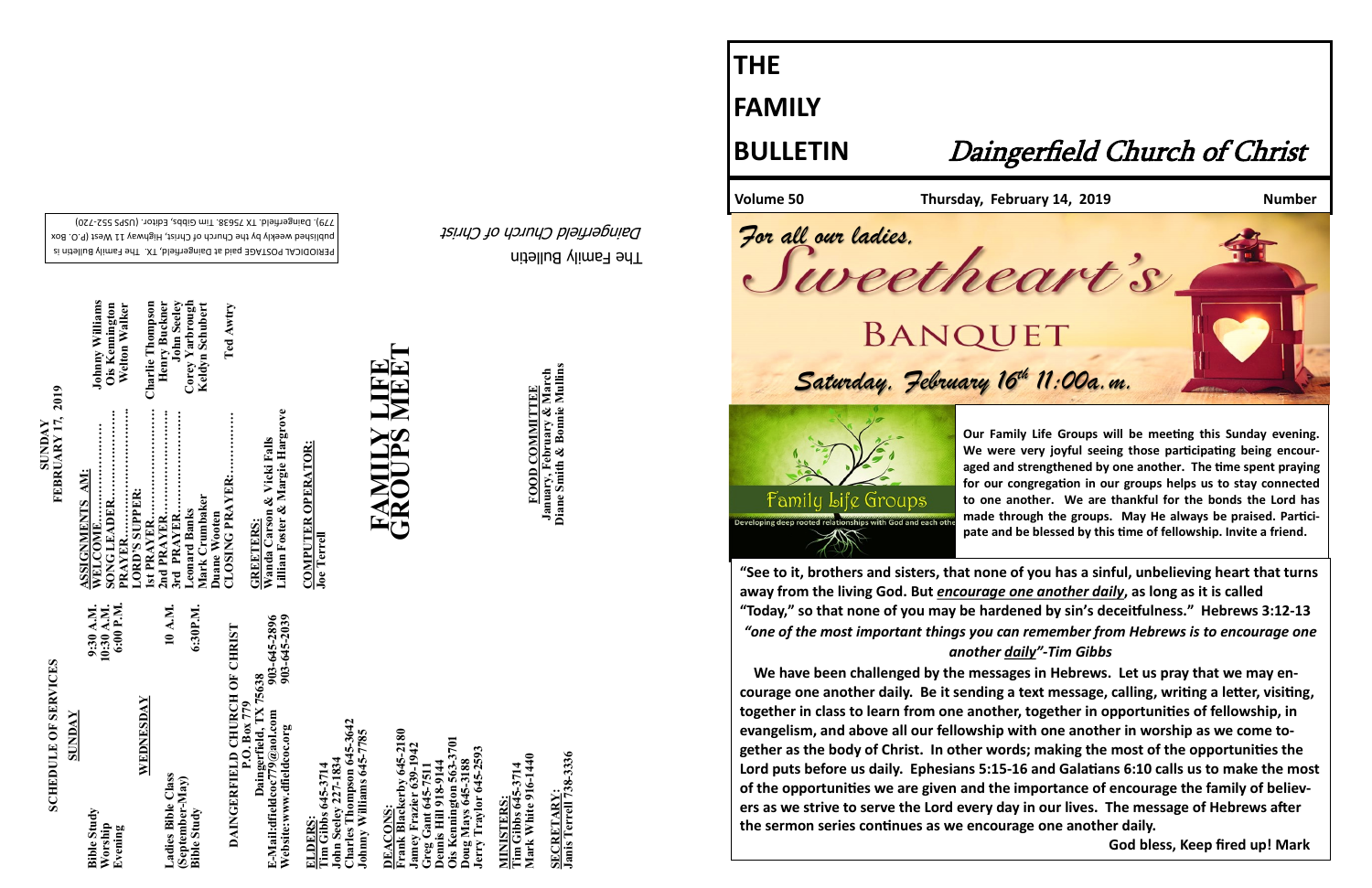The Family Bulletin Daingerfield Church of Christ

PERIODICAL POSTAGE paid at Daingerfield, TX. The Family Bulletin is published weekly by the Church of Christ, Highway 11 West (P.O. Box

## **SCHEDULE OF SERVICES SCHEDULE OF SERVICES**

720) - 779). Daingerfield. TX 75638. Tim Gibbs, Editor. (USPS 552

903-645-2896<br>903-645-2039 **Website:www.dfieldcoc.org 903-645-2039 E-Mail:dfieldcoc779@aol.com 903-645-2896 DAINGERFIELD CHURCH OF CHRIST**<br>P.O. Box 779<br>Daingerfield, TX 75638<br>E-Mail:dfieldcoc*T9@aol.com*<br>Website:www.dfieldcoc.org **DAINGERFIELD CHURCH OF CHRIST Daingerfield, TX 75638**

| 10 A.M.<br>WEDNESDAY<br>Ladies Bible Class<br>(September-May) |  | 6:00 P.M.<br>10:30 A.M.<br>9:30 A.M.<br><b>Bible Study</b><br>Worship<br>Evening |
|---------------------------------------------------------------|--|----------------------------------------------------------------------------------|
|---------------------------------------------------------------|--|----------------------------------------------------------------------------------|

**SECRETARY:<br>Janis Terrell 738-3336 Janis Terrell 738-3336 SECRETARY:**

**SUNDAY**<br>**FEBRUARY 17, 2019 FEBRUARY 17, 2019** 

> **ELDERS: Tim Gibbs 645-3714**

**Charles Thompson 645-3642 Johnny Williams 645-7785**  John Seeley 227-1834<br>Charles Thompson 645-3<br>Johnny Williams 645-777 **John Seeley 227-1834** 

kerby 645-2180<br>zier 639-1942 **Frank Blackerby 645-2180 Ois Kennington 563-3701 Jamey Frazier 639-1942 oug Mays 645-3188**<br>erry Traylor 645-2593 **Jerry Traylor 645-2593 Greg Gant 645-7511 Doug Mays 645-3188 Dennis Hill 918-9144 DEACONS: DEACONS** aa.

<u>rin vas Lewes</u><br>Fim Gibbs 645-3714<br>Mark White 916-1440 **Mark White 916-1440 Tim Gibbs 645-3714 MINISTERS: INISTERS** 

**FOOD COMMITTEE**<br>January, February & March<br>Diane Smith & Bonnie Mullins **Diane Smith & Bonnie Mullins January, February & March FOOD COMMITTEE**

| <b>Johnny Williams</b><br><b>Welton Walker</b><br>Ois Kennington | Corey Yarbrough<br>Henry Buckner<br><b>John Seeley</b><br><b>Charlie Thompson</b><br>Keldyn Schubert | Ted Awtry                              |
|------------------------------------------------------------------|------------------------------------------------------------------------------------------------------|----------------------------------------|
| ASSIGNMENTS AM:<br>LORD'S SUPPER:                                | 3rd PRAYER<br>Mark Crumbaker<br><b>Leonard Banks</b>                                                 | CLOSING PRAYER:<br><b>Duane Wooten</b> |

Wanda Carson & Vicki Falls<br>Lillian Foster & Margie Hargrove **Lillian Foster & Margie Hargrove Wanda Carson & Vicki Falls GREETERS: GREETERS:** 

**COMPUTER OPERATOR: Joe Terrell**

# **FAMILY LIFE GROUPS MEET**

**THE**

**FAMILY**

### **BULLETIN** Daingerfield Church of Christ

#### **Volume 50 Thursday, February 14, 2019 Number**



*Saturday, February 16th 11:00a.m. For all our ladies,* 

Lite Groups

**Our Family Life Groups will be meeting this Sunday evening. We were very joyful seeing those participating being encouraged and strengthened by one another. The time spent praying for our congregation in our groups helps us to stay connected to one another. We are thankful for the bonds the Lord has made through the groups. May He always be praised. Participate and be blessed by this time of fellowship. Invite a friend.**

**"See to it, brothers and sisters, that none of you has a sinful, unbelieving heart that turns away from the living God. But** *encourage one another daily***, as long as it is called "Today," so that none of you may be hardened by sin's deceitfulness." Hebrews 3:12-13** *"one of the most important things you can remember from Hebrews is to encourage one another daily"-Tim Gibbs*

 **We have been challenged by the messages in Hebrews. Let us pray that we may encourage one another daily. Be it sending a text message, calling, writing a letter, visiting, together in class to learn from one another, together in opportunities of fellowship, in evangelism, and above all our fellowship with one another in worship as we come together as the body of Christ. In other words; making the most of the opportunities the Lord puts before us daily. Ephesians 5:15-16 and Galatians 6:10 calls us to make the most of the opportunities we are given and the importance of encourage the family of believers as we strive to serve the Lord every day in our lives. The message of Hebrews after the sermon series continues as we encourage one another daily.** 

tamıly

 **God bless, Keep fired up! Mark**